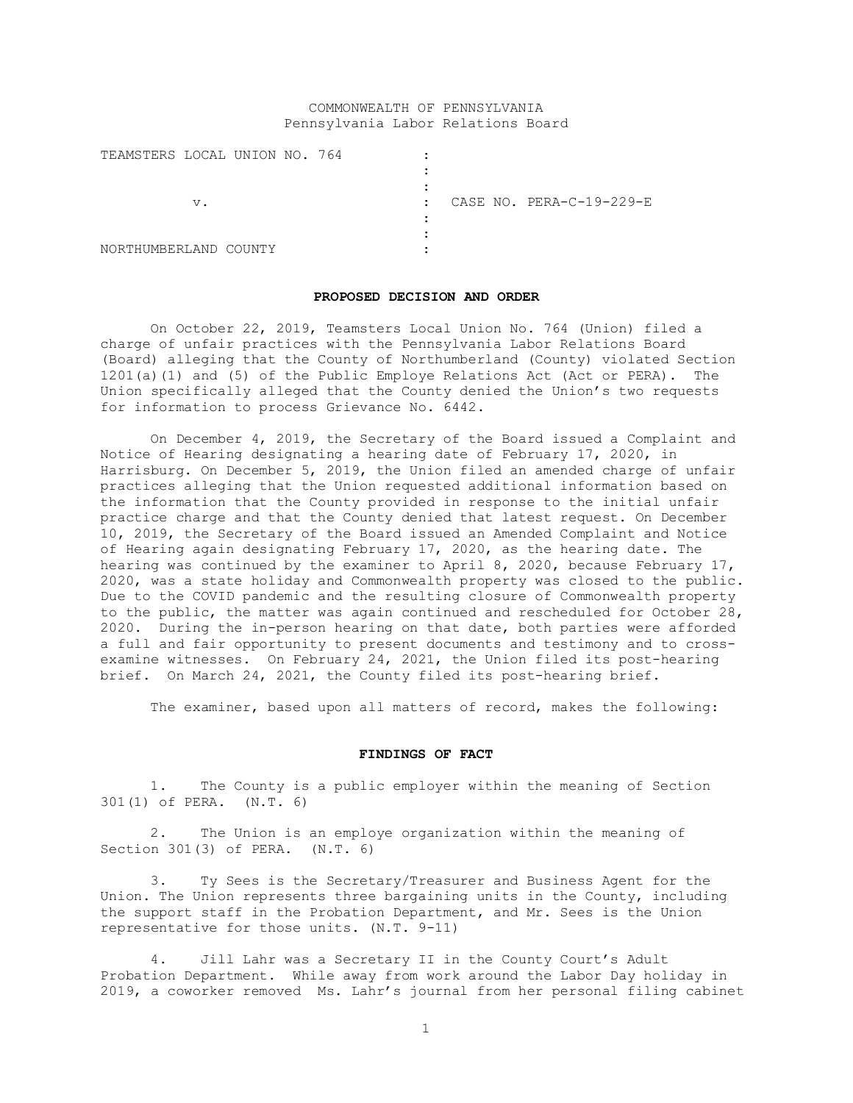## COMMONWEALTH OF PENNSYLVANIA Pennsylvania Labor Relations Board

| TEAMSTERS LOCAL UNION NO. 764 |    |  |  |              |                          |
|-------------------------------|----|--|--|--------------|--------------------------|
|                               |    |  |  |              |                          |
|                               |    |  |  |              |                          |
|                               | V. |  |  | $\mathbf{r}$ | CASE NO. PERA-C-19-229-E |
|                               |    |  |  |              |                          |
|                               |    |  |  |              |                          |
| NORTHUMBERLAND COUNTY         |    |  |  |              |                          |

### **PROPOSED DECISION AND ORDER**

On October 22, 2019, Teamsters Local Union No. 764 (Union) filed a charge of unfair practices with the Pennsylvania Labor Relations Board (Board) alleging that the County of Northumberland (County) violated Section 1201(a)(1) and (5) of the Public Employe Relations Act (Act or PERA). The Union specifically alleged that the County denied the Union's two requests for information to process Grievance No. 6442.

On December 4, 2019, the Secretary of the Board issued a Complaint and Notice of Hearing designating a hearing date of February 17, 2020, in Harrisburg. On December 5, 2019, the Union filed an amended charge of unfair practices alleging that the Union requested additional information based on the information that the County provided in response to the initial unfair practice charge and that the County denied that latest request. On December 10, 2019, the Secretary of the Board issued an Amended Complaint and Notice of Hearing again designating February 17, 2020, as the hearing date. The hearing was continued by the examiner to April 8, 2020, because February 17, 2020, was a state holiday and Commonwealth property was closed to the public. Due to the COVID pandemic and the resulting closure of Commonwealth property to the public, the matter was again continued and rescheduled for October 28, 2020. During the in-person hearing on that date, both parties were afforded a full and fair opportunity to present documents and testimony and to crossexamine witnesses. On February 24, 2021, the Union filed its post-hearing brief. On March 24, 2021, the County filed its post-hearing brief.

The examiner, based upon all matters of record, makes the following:

#### **FINDINGS OF FACT**

1. The County is a public employer within the meaning of Section 301(1) of PERA. (N.T. 6)

2. The Union is an employe organization within the meaning of Section 301(3) of PERA. (N.T. 6)

3. Ty Sees is the Secretary/Treasurer and Business Agent for the Union. The Union represents three bargaining units in the County, including the support staff in the Probation Department, and Mr. Sees is the Union representative for those units. (N.T. 9-11)

4. Jill Lahr was a Secretary II in the County Court's Adult Probation Department. While away from work around the Labor Day holiday in 2019, a coworker removed Ms. Lahr's journal from her personal filing cabinet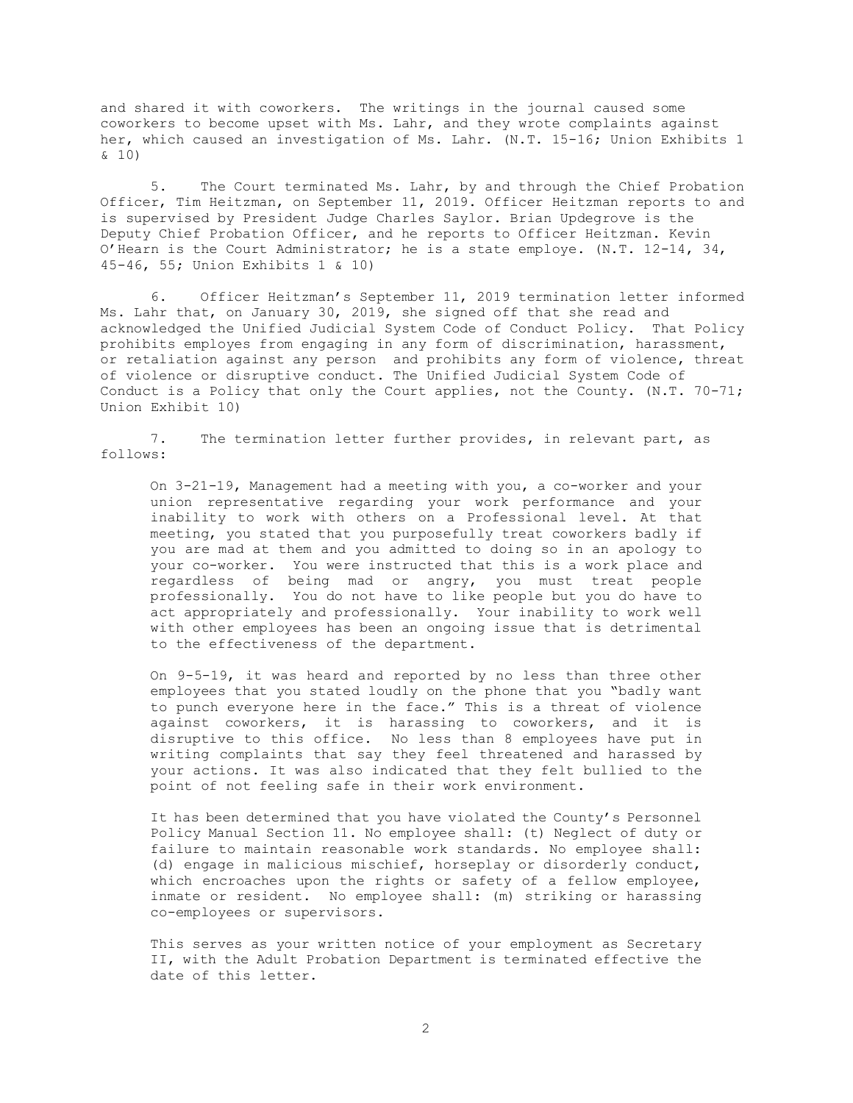and shared it with coworkers. The writings in the journal caused some coworkers to become upset with Ms. Lahr, and they wrote complaints against her, which caused an investigation of Ms. Lahr. (N.T. 15-16; Union Exhibits 1 & 10)

5. The Court terminated Ms. Lahr, by and through the Chief Probation Officer, Tim Heitzman, on September 11, 2019. Officer Heitzman reports to and is supervised by President Judge Charles Saylor. Brian Updegrove is the Deputy Chief Probation Officer, and he reports to Officer Heitzman. Kevin O'Hearn is the Court Administrator; he is a state employe. (N.T. 12-14, 34, 45-46, 55; Union Exhibits 1 & 10)

6. Officer Heitzman's September 11, 2019 termination letter informed Ms. Lahr that, on January 30, 2019, she signed off that she read and acknowledged the Unified Judicial System Code of Conduct Policy. That Policy prohibits employes from engaging in any form of discrimination, harassment, or retaliation against any person and prohibits any form of violence, threat of violence or disruptive conduct. The Unified Judicial System Code of Conduct is a Policy that only the Court applies, not the County. (N.T. 70-71; Union Exhibit 10)

7. The termination letter further provides, in relevant part, as follows:

On 3-21-19, Management had a meeting with you, a co-worker and your union representative regarding your work performance and your inability to work with others on a Professional level. At that meeting, you stated that you purposefully treat coworkers badly if you are mad at them and you admitted to doing so in an apology to your co-worker. You were instructed that this is a work place and regardless of being mad or angry, you must treat people professionally. You do not have to like people but you do have to act appropriately and professionally. Your inability to work well with other employees has been an ongoing issue that is detrimental to the effectiveness of the department.

On 9-5-19, it was heard and reported by no less than three other employees that you stated loudly on the phone that you "badly want to punch everyone here in the face." This is a threat of violence against coworkers, it is harassing to coworkers, and it is disruptive to this office. No less than 8 employees have put in writing complaints that say they feel threatened and harassed by your actions. It was also indicated that they felt bullied to the point of not feeling safe in their work environment.

It has been determined that you have violated the County's Personnel Policy Manual Section 11. No employee shall: (t) Neglect of duty or failure to maintain reasonable work standards. No employee shall: (d) engage in malicious mischief, horseplay or disorderly conduct, which encroaches upon the rights or safety of a fellow employee, inmate or resident. No employee shall: (m) striking or harassing co-employees or supervisors.

This serves as your written notice of your employment as Secretary II, with the Adult Probation Department is terminated effective the date of this letter.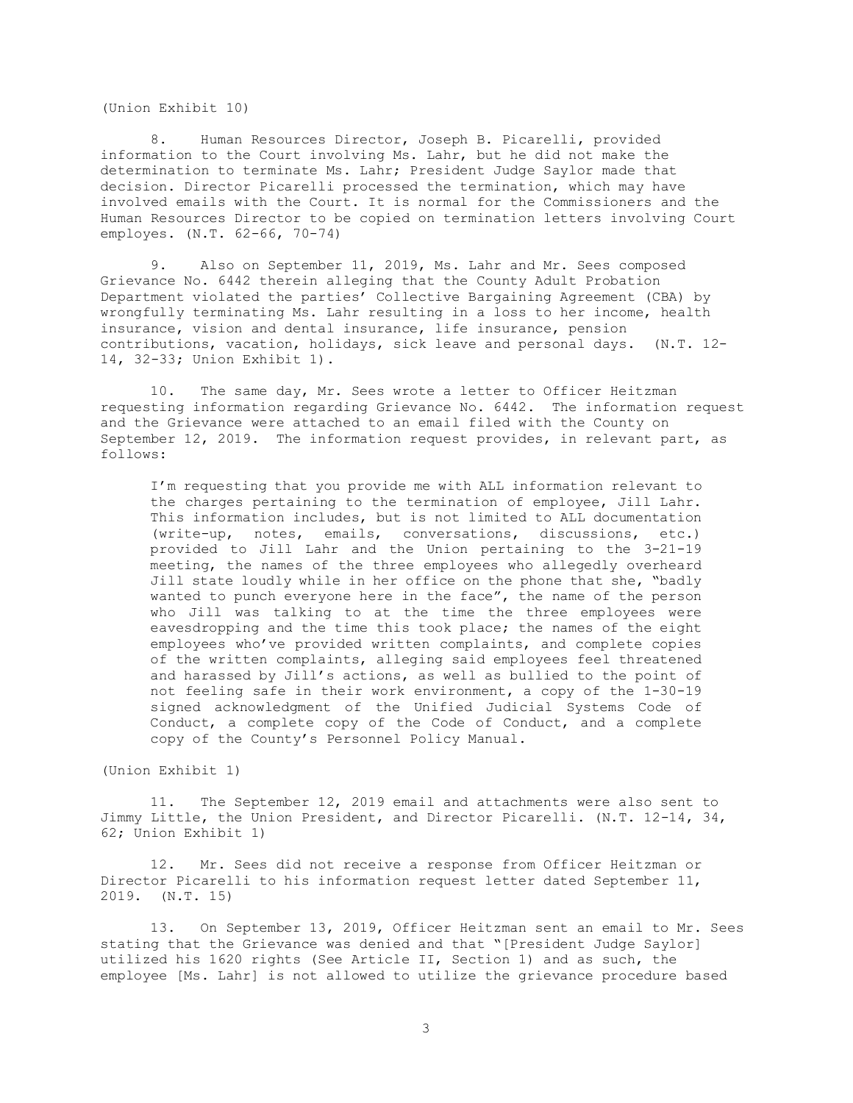(Union Exhibit 10)

8. Human Resources Director, Joseph B. Picarelli, provided information to the Court involving Ms. Lahr, but he did not make the determination to terminate Ms. Lahr; President Judge Saylor made that decision. Director Picarelli processed the termination, which may have involved emails with the Court. It is normal for the Commissioners and the Human Resources Director to be copied on termination letters involving Court employes. (N.T. 62-66, 70-74)

9. Also on September 11, 2019, Ms. Lahr and Mr. Sees composed Grievance No. 6442 therein alleging that the County Adult Probation Department violated the parties' Collective Bargaining Agreement (CBA) by wrongfully terminating Ms. Lahr resulting in a loss to her income, health insurance, vision and dental insurance, life insurance, pension contributions, vacation, holidays, sick leave and personal days. (N.T. 12- 14, 32-33; Union Exhibit 1).

10. The same day, Mr. Sees wrote a letter to Officer Heitzman requesting information regarding Grievance No. 6442. The information request and the Grievance were attached to an email filed with the County on September 12, 2019. The information request provides, in relevant part, as follows:

I'm requesting that you provide me with ALL information relevant to the charges pertaining to the termination of employee, Jill Lahr. This information includes, but is not limited to ALL documentation (write-up, notes, emails, conversations, discussions, etc.) provided to Jill Lahr and the Union pertaining to the 3-21-19 meeting, the names of the three employees who allegedly overheard Jill state loudly while in her office on the phone that she, "badly wanted to punch everyone here in the face", the name of the person who Jill was talking to at the time the three employees were eavesdropping and the time this took place; the names of the eight employees who've provided written complaints, and complete copies of the written complaints, alleging said employees feel threatened and harassed by Jill's actions, as well as bullied to the point of not feeling safe in their work environment, a copy of the 1-30-19 signed acknowledgment of the Unified Judicial Systems Code of Conduct, a complete copy of the Code of Conduct, and a complete copy of the County's Personnel Policy Manual.

(Union Exhibit 1)

11. The September 12, 2019 email and attachments were also sent to Jimmy Little, the Union President, and Director Picarelli. (N.T. 12-14, 34, 62; Union Exhibit 1)

12. Mr. Sees did not receive a response from Officer Heitzman or Director Picarelli to his information request letter dated September 11, 2019. (N.T. 15)

13. On September 13, 2019, Officer Heitzman sent an email to Mr. Sees stating that the Grievance was denied and that "[President Judge Saylor] utilized his 1620 rights (See Article II, Section 1) and as such, the employee [Ms. Lahr] is not allowed to utilize the grievance procedure based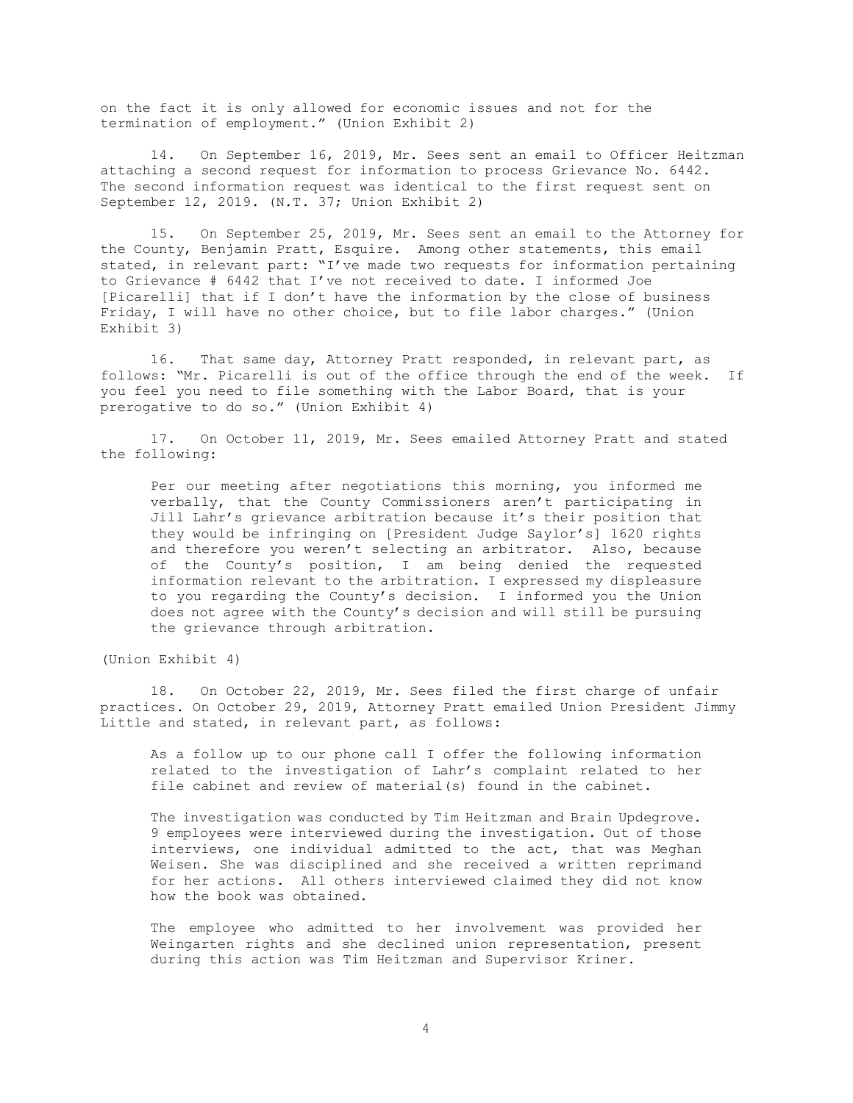on the fact it is only allowed for economic issues and not for the termination of employment." (Union Exhibit 2)

14. On September 16, 2019, Mr. Sees sent an email to Officer Heitzman attaching a second request for information to process Grievance No. 6442. The second information request was identical to the first request sent on September 12, 2019. (N.T. 37; Union Exhibit 2)

15. On September 25, 2019, Mr. Sees sent an email to the Attorney for the County, Benjamin Pratt, Esquire. Among other statements, this email stated, in relevant part: "I've made two requests for information pertaining to Grievance # 6442 that I've not received to date. I informed Joe [Picarelli] that if I don't have the information by the close of business Friday, I will have no other choice, but to file labor charges." (Union Exhibit 3)

16. That same day, Attorney Pratt responded, in relevant part, as follows: "Mr. Picarelli is out of the office through the end of the week. If you feel you need to file something with the Labor Board, that is your prerogative to do so." (Union Exhibit 4)

17. On October 11, 2019, Mr. Sees emailed Attorney Pratt and stated the following:

Per our meeting after negotiations this morning, you informed me verbally, that the County Commissioners aren't participating in Jill Lahr's grievance arbitration because it's their position that they would be infringing on [President Judge Saylor's] 1620 rights and therefore you weren't selecting an arbitrator. Also, because of the County's position, I am being denied the requested information relevant to the arbitration. I expressed my displeasure to you regarding the County's decision. I informed you the Union does not agree with the County's decision and will still be pursuing the grievance through arbitration.

(Union Exhibit 4)

18. On October 22, 2019, Mr. Sees filed the first charge of unfair practices. On October 29, 2019, Attorney Pratt emailed Union President Jimmy Little and stated, in relevant part, as follows:

As a follow up to our phone call I offer the following information related to the investigation of Lahr's complaint related to her file cabinet and review of material(s) found in the cabinet.

The investigation was conducted by Tim Heitzman and Brain Updegrove. 9 employees were interviewed during the investigation. Out of those interviews, one individual admitted to the act, that was Meghan Weisen. She was disciplined and she received a written reprimand for her actions. All others interviewed claimed they did not know how the book was obtained.

The employee who admitted to her involvement was provided her Weingarten rights and she declined union representation, present during this action was Tim Heitzman and Supervisor Kriner.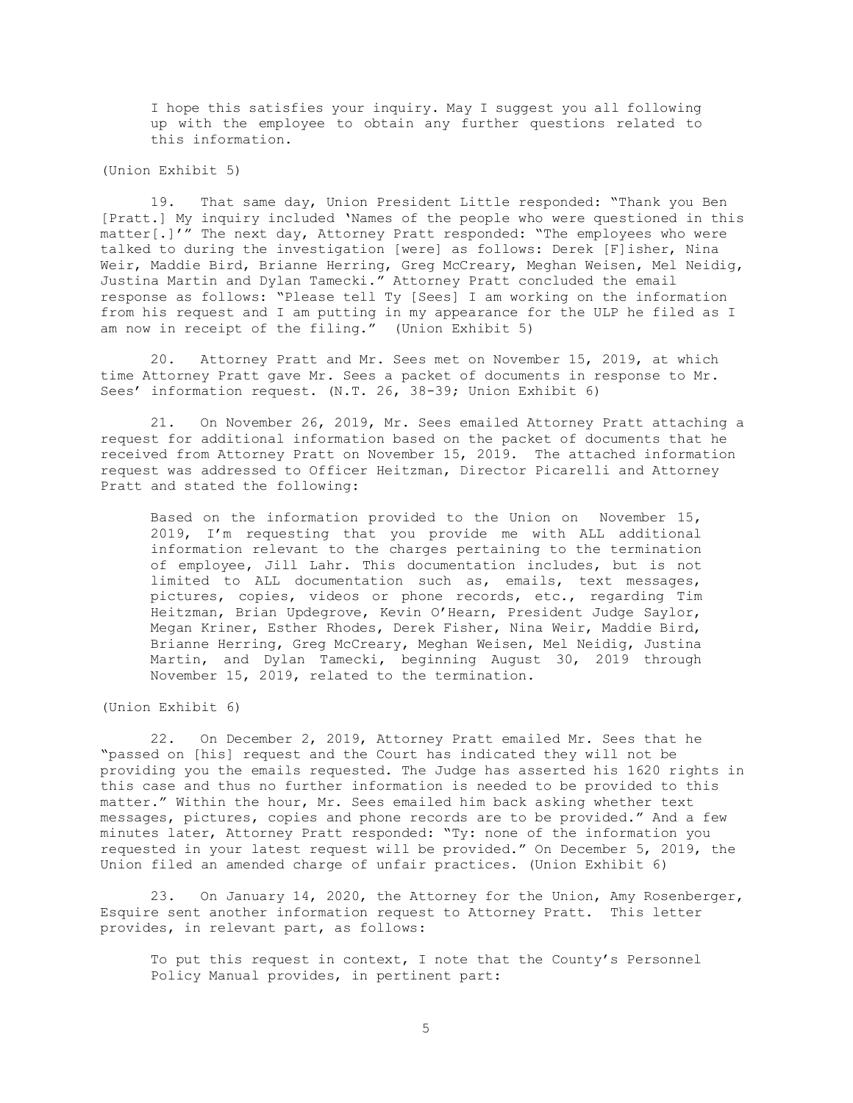I hope this satisfies your inquiry. May I suggest you all following up with the employee to obtain any further questions related to this information.

(Union Exhibit 5)

19. That same day, Union President Little responded: "Thank you Ben [Pratt.] My inquiry included 'Names of the people who were questioned in this matter[.]'" The next day, Attorney Pratt responded: "The employees who were talked to during the investigation [were] as follows: Derek [F]isher, Nina Weir, Maddie Bird, Brianne Herring, Greg McCreary, Meghan Weisen, Mel Neidig, Justina Martin and Dylan Tamecki." Attorney Pratt concluded the email response as follows: "Please tell Ty [Sees] I am working on the information from his request and I am putting in my appearance for the ULP he filed as I am now in receipt of the filing." (Union Exhibit 5)

20. Attorney Pratt and Mr. Sees met on November 15, 2019, at which time Attorney Pratt gave Mr. Sees a packet of documents in response to Mr. Sees' information request. (N.T. 26, 38-39; Union Exhibit 6)

21. On November 26, 2019, Mr. Sees emailed Attorney Pratt attaching a request for additional information based on the packet of documents that he received from Attorney Pratt on November 15, 2019. The attached information request was addressed to Officer Heitzman, Director Picarelli and Attorney Pratt and stated the following:

Based on the information provided to the Union on November 15, 2019, I'm requesting that you provide me with ALL additional information relevant to the charges pertaining to the termination of employee, Jill Lahr. This documentation includes, but is not limited to ALL documentation such as, emails, text messages, pictures, copies, videos or phone records, etc., regarding Tim Heitzman, Brian Updegrove, Kevin O'Hearn, President Judge Saylor, Megan Kriner, Esther Rhodes, Derek Fisher, Nina Weir, Maddie Bird, Brianne Herring, Greg McCreary, Meghan Weisen, Mel Neidig, Justina Martin, and Dylan Tamecki, beginning August 30, 2019 through November 15, 2019, related to the termination.

(Union Exhibit 6)

22. On December 2, 2019, Attorney Pratt emailed Mr. Sees that he "passed on [his] request and the Court has indicated they will not be providing you the emails requested. The Judge has asserted his 1620 rights in this case and thus no further information is needed to be provided to this matter." Within the hour, Mr. Sees emailed him back asking whether text messages, pictures, copies and phone records are to be provided." And a few minutes later, Attorney Pratt responded: "Ty: none of the information you requested in your latest request will be provided." On December 5, 2019, the Union filed an amended charge of unfair practices. (Union Exhibit 6)

23. On January 14, 2020, the Attorney for the Union, Amy Rosenberger, Esquire sent another information request to Attorney Pratt. This letter provides, in relevant part, as follows:

To put this request in context, I note that the County's Personnel Policy Manual provides, in pertinent part: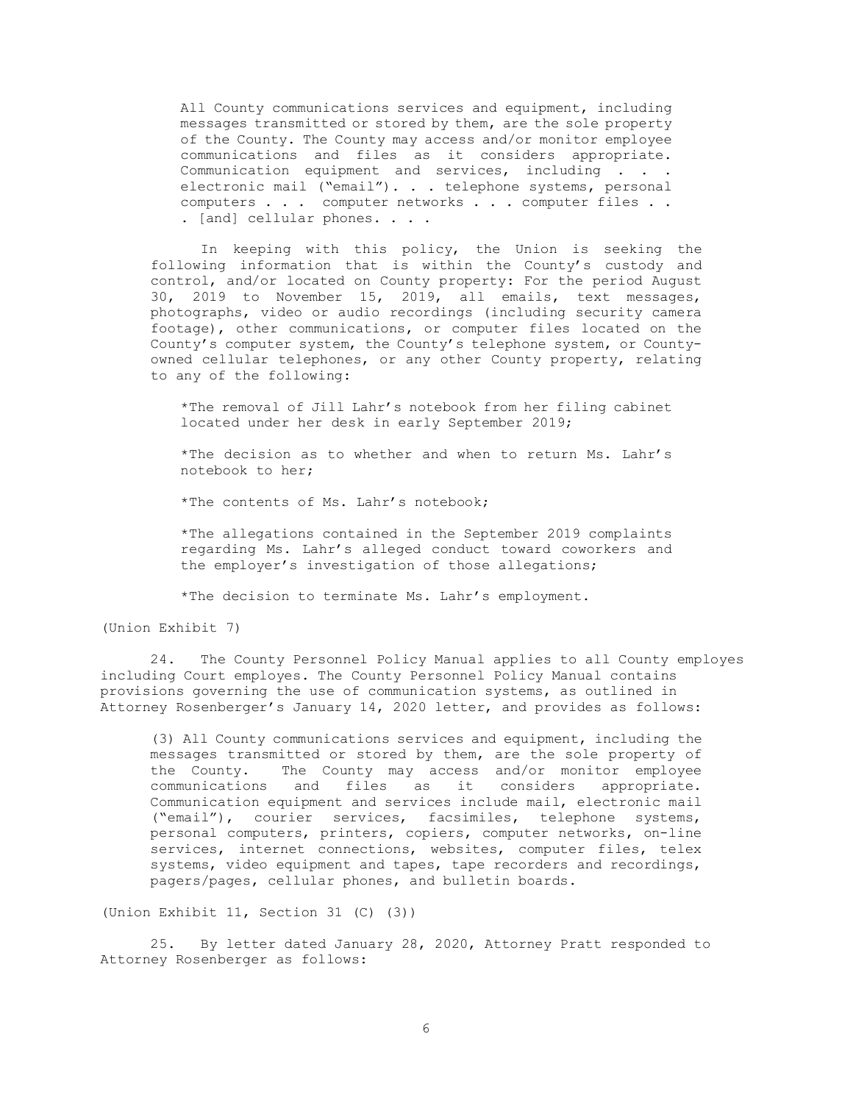All County communications services and equipment, including messages transmitted or stored by them, are the sole property of the County. The County may access and/or monitor employee communications and files as it considers appropriate. Communication equipment and services, including . . . electronic mail ("email"). . . telephone systems, personal computers . . . computer networks . . . computer files . . . [and] cellular phones. . . .

In keeping with this policy, the Union is seeking the following information that is within the County's custody and control, and/or located on County property: For the period August 30, 2019 to November 15, 2019, all emails, text messages, photographs, video or audio recordings (including security camera footage), other communications, or computer files located on the County's computer system, the County's telephone system, or Countyowned cellular telephones, or any other County property, relating to any of the following:

\*The removal of Jill Lahr's notebook from her filing cabinet located under her desk in early September 2019;

\*The decision as to whether and when to return Ms. Lahr's notebook to her;

\*The contents of Ms. Lahr's notebook;

\*The allegations contained in the September 2019 complaints regarding Ms. Lahr's alleged conduct toward coworkers and the employer's investigation of those allegations;

\*The decision to terminate Ms. Lahr's employment.

(Union Exhibit 7)

24. The County Personnel Policy Manual applies to all County employes including Court employes. The County Personnel Policy Manual contains provisions governing the use of communication systems, as outlined in Attorney Rosenberger's January 14, 2020 letter, and provides as follows:

(3) All County communications services and equipment, including the messages transmitted or stored by them, are the sole property of the County. The County may access and/or monitor employee communications and files as it considers appropriate. Communication equipment and services include mail, electronic mail ("email"), courier services, facsimiles, telephone systems, personal computers, printers, copiers, computer networks, on-line services, internet connections, websites, computer files, telex systems, video equipment and tapes, tape recorders and recordings, pagers/pages, cellular phones, and bulletin boards.

(Union Exhibit 11, Section 31 (C) (3))

25. By letter dated January 28, 2020, Attorney Pratt responded to Attorney Rosenberger as follows: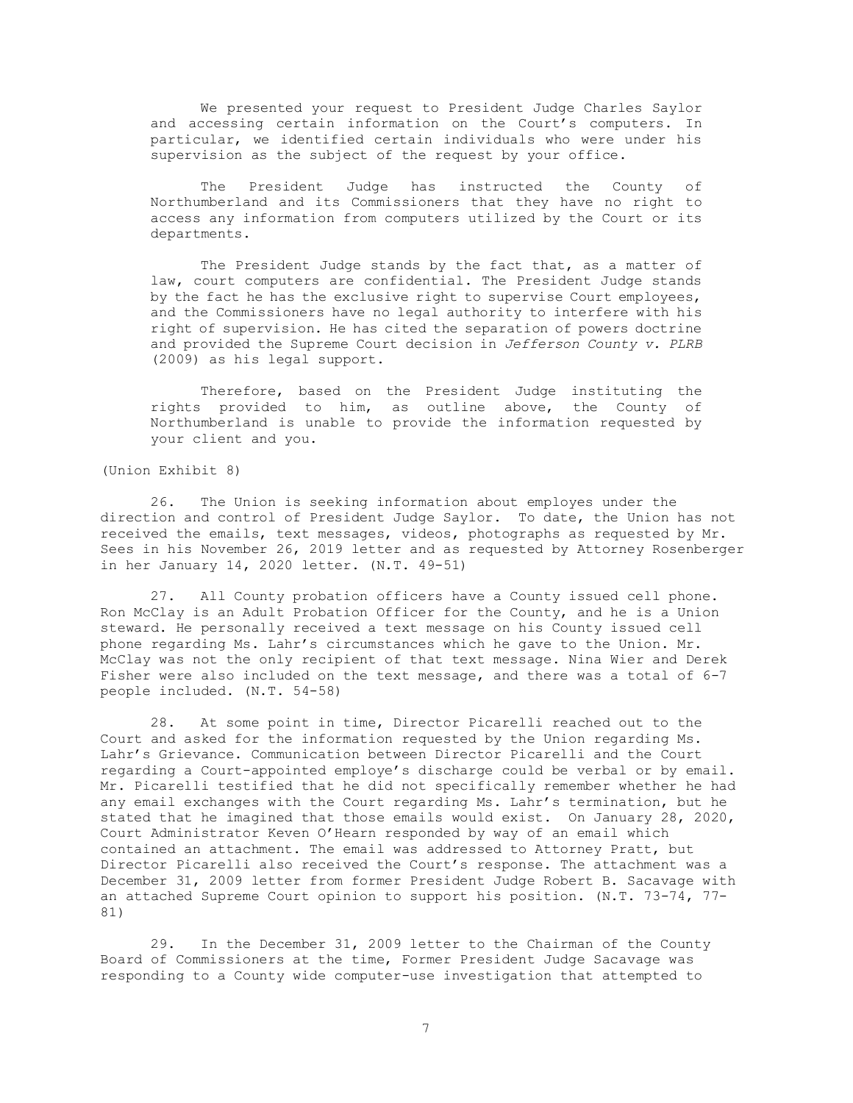We presented your request to President Judge Charles Saylor and accessing certain information on the Court's computers. In particular, we identified certain individuals who were under his supervision as the subject of the request by your office.

The President Judge has instructed the County of Northumberland and its Commissioners that they have no right to access any information from computers utilized by the Court or its departments.

The President Judge stands by the fact that, as a matter of law, court computers are confidential. The President Judge stands by the fact he has the exclusive right to supervise Court employees, and the Commissioners have no legal authority to interfere with his right of supervision. He has cited the separation of powers doctrine and provided the Supreme Court decision in *Jefferson County v. PLRB* (2009) as his legal support.

Therefore, based on the President Judge instituting the rights provided to him, as outline above, the County of Northumberland is unable to provide the information requested by your client and you.

(Union Exhibit 8)

26. The Union is seeking information about employes under the direction and control of President Judge Saylor. To date, the Union has not received the emails, text messages, videos, photographs as requested by Mr. Sees in his November 26, 2019 letter and as requested by Attorney Rosenberger in her January 14, 2020 letter. (N.T. 49-51)

27. All County probation officers have a County issued cell phone. Ron McClay is an Adult Probation Officer for the County, and he is a Union steward. He personally received a text message on his County issued cell phone regarding Ms. Lahr's circumstances which he gave to the Union. Mr. McClay was not the only recipient of that text message. Nina Wier and Derek Fisher were also included on the text message, and there was a total of 6-7 people included. (N.T. 54-58)

28. At some point in time, Director Picarelli reached out to the Court and asked for the information requested by the Union regarding Ms. Lahr's Grievance. Communication between Director Picarelli and the Court regarding a Court-appointed employe's discharge could be verbal or by email. Mr. Picarelli testified that he did not specifically remember whether he had any email exchanges with the Court regarding Ms. Lahr's termination, but he stated that he imagined that those emails would exist. On January 28, 2020, Court Administrator Keven O'Hearn responded by way of an email which contained an attachment. The email was addressed to Attorney Pratt, but Director Picarelli also received the Court's response. The attachment was a December 31, 2009 letter from former President Judge Robert B. Sacavage with an attached Supreme Court opinion to support his position. (N.T. 73-74, 77- 81)

29. In the December 31, 2009 letter to the Chairman of the County Board of Commissioners at the time, Former President Judge Sacavage was responding to a County wide computer-use investigation that attempted to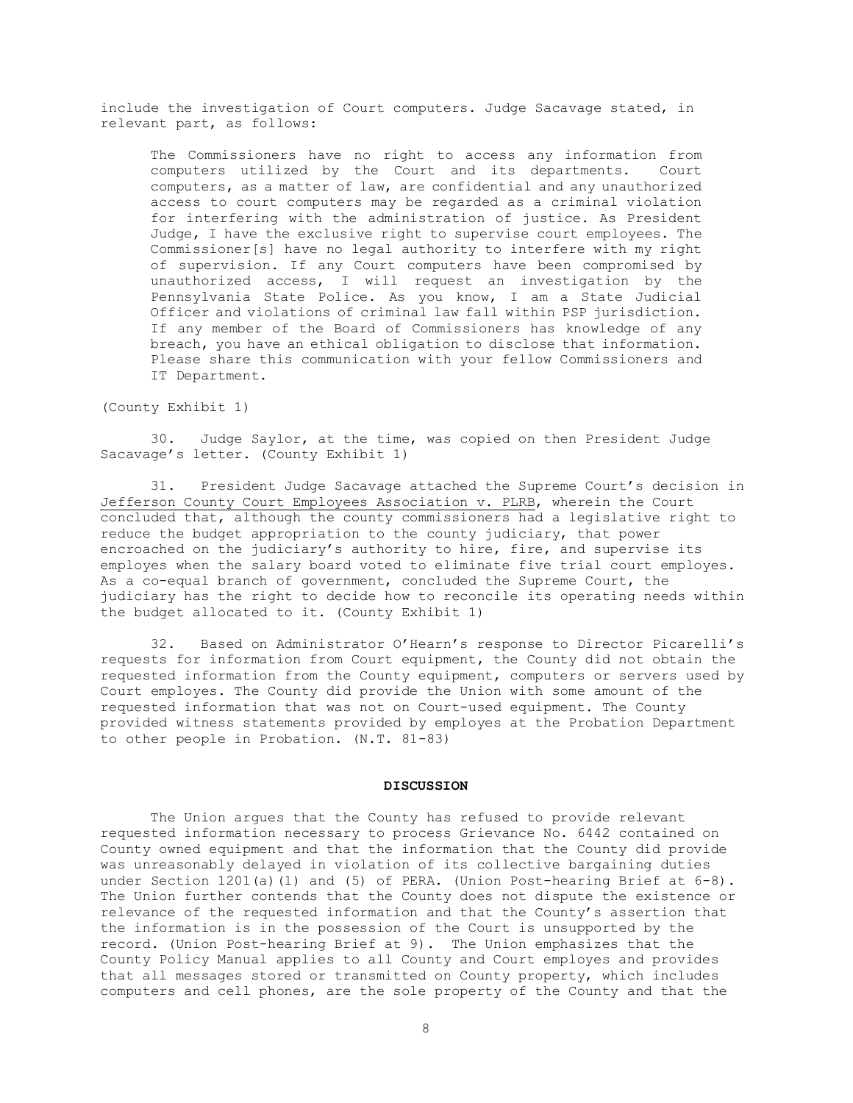include the investigation of Court computers. Judge Sacavage stated, in relevant part, as follows:

The Commissioners have no right to access any information from<br>computers utilized by the Court and its departments. Court computers utilized by the Court and its departments. computers, as a matter of law, are confidential and any unauthorized access to court computers may be regarded as a criminal violation for interfering with the administration of justice. As President Judge, I have the exclusive right to supervise court employees. The Commissioner[s] have no legal authority to interfere with my right of supervision. If any Court computers have been compromised by unauthorized access, I will request an investigation by the Pennsylvania State Police. As you know, I am a State Judicial Officer and violations of criminal law fall within PSP jurisdiction. If any member of the Board of Commissioners has knowledge of any breach, you have an ethical obligation to disclose that information. Please share this communication with your fellow Commissioners and IT Department.

(County Exhibit 1)

30. Judge Saylor, at the time, was copied on then President Judge Sacavage's letter. (County Exhibit 1)

31. President Judge Sacavage attached the Supreme Court's decision in Jefferson County Court Employees Association v. PLRB, wherein the Court concluded that, although the county commissioners had a legislative right to reduce the budget appropriation to the county judiciary, that power encroached on the judiciary's authority to hire, fire, and supervise its employes when the salary board voted to eliminate five trial court employes. As a co-equal branch of government, concluded the Supreme Court, the judiciary has the right to decide how to reconcile its operating needs within the budget allocated to it. (County Exhibit 1)

32. Based on Administrator O'Hearn's response to Director Picarelli's requests for information from Court equipment, the County did not obtain the requested information from the County equipment, computers or servers used by Court employes. The County did provide the Union with some amount of the requested information that was not on Court-used equipment. The County provided witness statements provided by employes at the Probation Department to other people in Probation. (N.T. 81-83)

#### **DISCUSSION**

The Union argues that the County has refused to provide relevant requested information necessary to process Grievance No. 6442 contained on County owned equipment and that the information that the County did provide was unreasonably delayed in violation of its collective bargaining duties under Section 1201(a)(1) and (5) of PERA. (Union Post-hearing Brief at 6-8). The Union further contends that the County does not dispute the existence or relevance of the requested information and that the County's assertion that the information is in the possession of the Court is unsupported by the record. (Union Post-hearing Brief at 9). The Union emphasizes that the County Policy Manual applies to all County and Court employes and provides that all messages stored or transmitted on County property, which includes computers and cell phones, are the sole property of the County and that the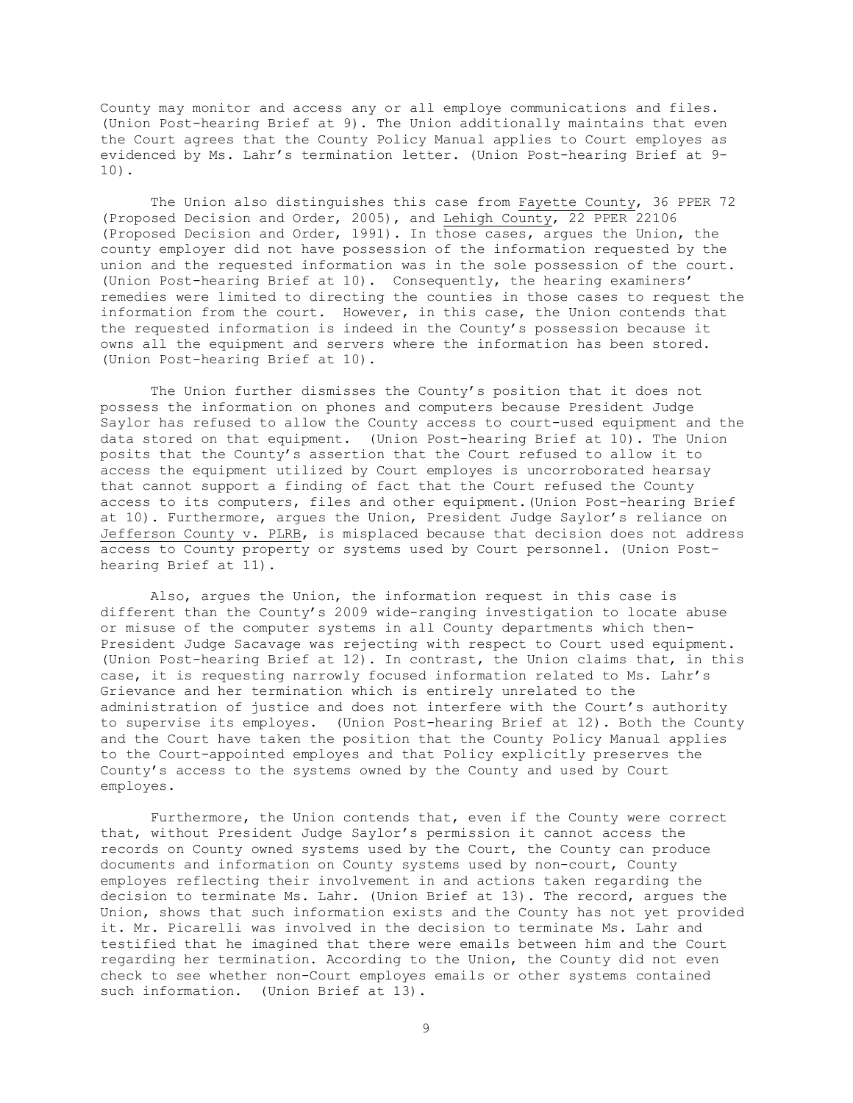County may monitor and access any or all employe communications and files. (Union Post-hearing Brief at 9). The Union additionally maintains that even the Court agrees that the County Policy Manual applies to Court employes as evidenced by Ms. Lahr's termination letter. (Union Post-hearing Brief at 9- 10).

The Union also distinguishes this case from Fayette County, 36 PPER 72 (Proposed Decision and Order, 2005), and Lehigh County, 22 PPER 22106 (Proposed Decision and Order, 1991). In those cases, argues the Union, the county employer did not have possession of the information requested by the union and the requested information was in the sole possession of the court. (Union Post-hearing Brief at 10). Consequently, the hearing examiners' remedies were limited to directing the counties in those cases to request the information from the court. However, in this case, the Union contends that the requested information is indeed in the County's possession because it owns all the equipment and servers where the information has been stored. (Union Post-hearing Brief at 10).

The Union further dismisses the County's position that it does not possess the information on phones and computers because President Judge Saylor has refused to allow the County access to court-used equipment and the data stored on that equipment. (Union Post-hearing Brief at 10). The Union posits that the County's assertion that the Court refused to allow it to access the equipment utilized by Court employes is uncorroborated hearsay that cannot support a finding of fact that the Court refused the County access to its computers, files and other equipment.(Union Post-hearing Brief at 10). Furthermore, argues the Union, President Judge Saylor's reliance on Jefferson County v. PLRB, is misplaced because that decision does not address access to County property or systems used by Court personnel. (Union Posthearing Brief at 11).

Also, argues the Union, the information request in this case is different than the County's 2009 wide-ranging investigation to locate abuse or misuse of the computer systems in all County departments which then-President Judge Sacavage was rejecting with respect to Court used equipment. (Union Post-hearing Brief at 12). In contrast, the Union claims that, in this case, it is requesting narrowly focused information related to Ms. Lahr's Grievance and her termination which is entirely unrelated to the administration of justice and does not interfere with the Court's authority to supervise its employes. (Union Post-hearing Brief at 12). Both the County and the Court have taken the position that the County Policy Manual applies to the Court-appointed employes and that Policy explicitly preserves the County's access to the systems owned by the County and used by Court employes.

Furthermore, the Union contends that, even if the County were correct that, without President Judge Saylor's permission it cannot access the records on County owned systems used by the Court, the County can produce documents and information on County systems used by non-court, County employes reflecting their involvement in and actions taken regarding the decision to terminate Ms. Lahr. (Union Brief at 13). The record, argues the Union, shows that such information exists and the County has not yet provided it. Mr. Picarelli was involved in the decision to terminate Ms. Lahr and testified that he imagined that there were emails between him and the Court regarding her termination. According to the Union, the County did not even check to see whether non-Court employes emails or other systems contained such information. (Union Brief at 13).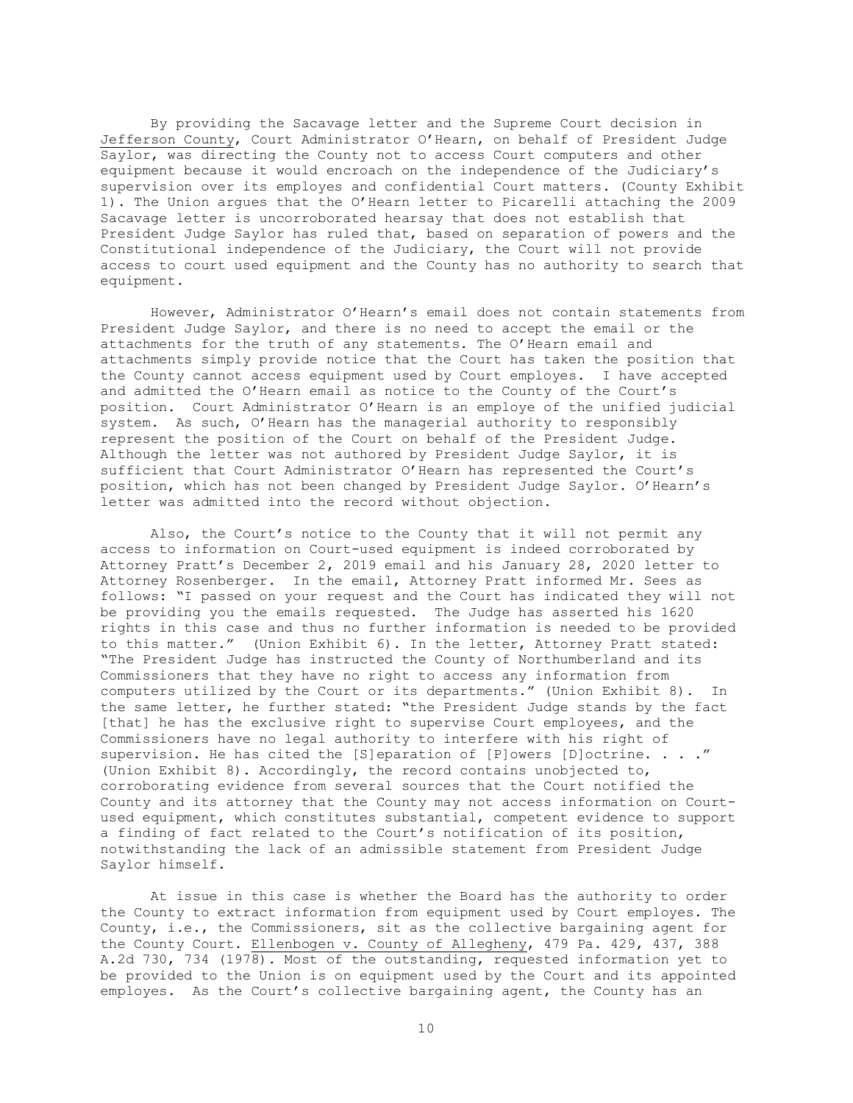By providing the Sacavage letter and the Supreme Court decision in Jefferson County, Court Administrator O'Hearn, on behalf of President Judge Saylor, was directing the County not to access Court computers and other equipment because it would encroach on the independence of the Judiciary's supervision over its employes and confidential Court matters. (County Exhibit 1). The Union argues that the O'Hearn letter to Picarelli attaching the 2009 Sacavage letter is uncorroborated hearsay that does not establish that President Judge Saylor has ruled that, based on separation of powers and the Constitutional independence of the Judiciary, the Court will not provide access to court used equipment and the County has no authority to search that equipment.

However, Administrator O'Hearn's email does not contain statements from President Judge Saylor, and there is no need to accept the email or the attachments for the truth of any statements. The O'Hearn email and attachments simply provide notice that the Court has taken the position that the County cannot access equipment used by Court employes. I have accepted and admitted the O'Hearn email as notice to the County of the Court's position. Court Administrator O'Hearn is an employe of the unified judicial system. As such, O'Hearn has the managerial authority to responsibly represent the position of the Court on behalf of the President Judge. Although the letter was not authored by President Judge Saylor, it is sufficient that Court Administrator O'Hearn has represented the Court's position, which has not been changed by President Judge Saylor. O'Hearn's letter was admitted into the record without objection.

Also, the Court's notice to the County that it will not permit any access to information on Court-used equipment is indeed corroborated by Attorney Pratt's December 2, 2019 email and his January 28, 2020 letter to Attorney Rosenberger. In the email, Attorney Pratt informed Mr. Sees as follows: "I passed on your request and the Court has indicated they will not be providing you the emails requested. The Judge has asserted his 1620 rights in this case and thus no further information is needed to be provided to this matter." (Union Exhibit 6). In the letter, Attorney Pratt stated: "The President Judge has instructed the County of Northumberland and its Commissioners that they have no right to access any information from computers utilized by the Court or its departments." (Union Exhibit 8). In the same letter, he further stated: "the President Judge stands by the fact [that] he has the exclusive right to supervise Court employees, and the Commissioners have no legal authority to interfere with his right of supervision. He has cited the [S]eparation of [P]owers [D]octrine. . . ." (Union Exhibit 8). Accordingly, the record contains unobjected to, corroborating evidence from several sources that the Court notified the County and its attorney that the County may not access information on Courtused equipment, which constitutes substantial, competent evidence to support a finding of fact related to the Court's notification of its position, notwithstanding the lack of an admissible statement from President Judge Saylor himself.

At issue in this case is whether the Board has the authority to order the County to extract information from equipment used by Court employes. The County, i.e., the Commissioners, sit as the collective bargaining agent for the County Court. Ellenbogen v. County of Allegheny, 479 Pa. 429, 437, 388 A.2d 730, 734 (1978). Most of the outstanding, requested information yet to be provided to the Union is on equipment used by the Court and its appointed employes. As the Court's collective bargaining agent, the County has an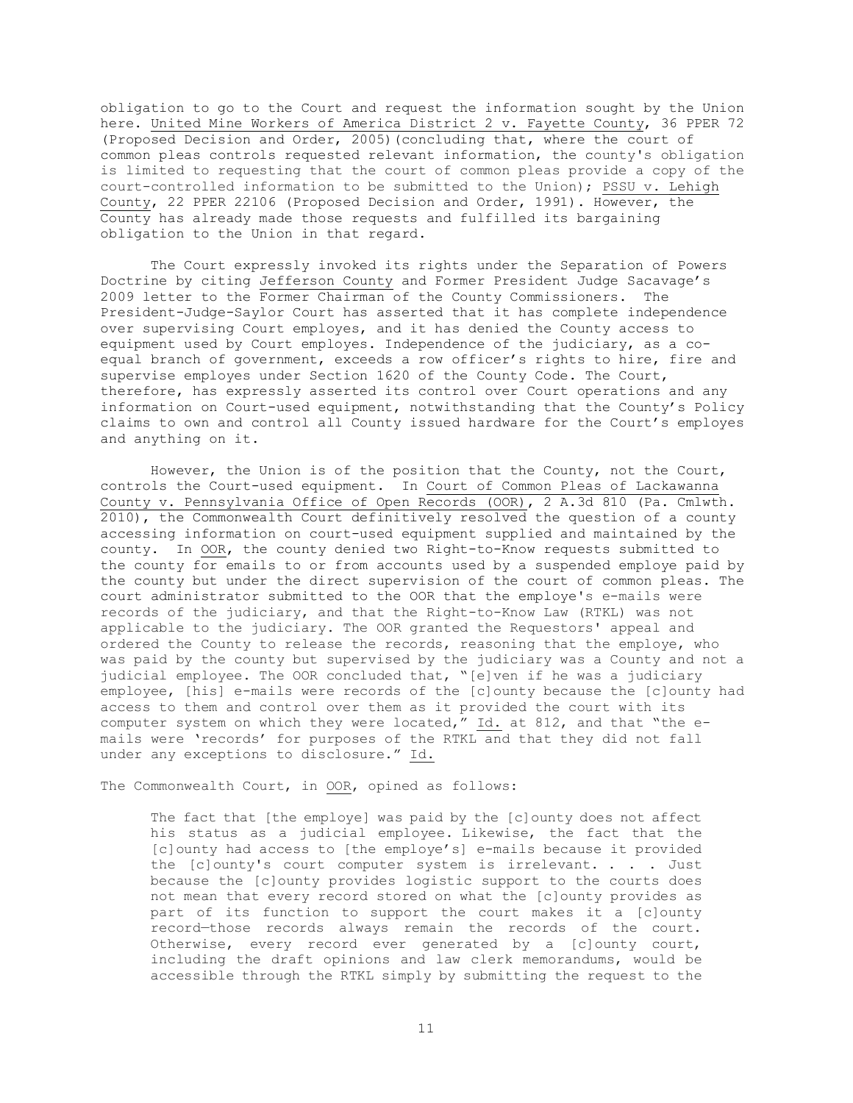obligation to go to the Court and request the information sought by the Union here. United Mine Workers of America District 2 v. Fayette County, 36 PPER 72 (Proposed Decision and Order, 2005)(concluding that, where the court of common pleas controls requested relevant information, the county's obligation is limited to requesting that the court of common pleas provide a copy of the court-controlled information to be submitted to the Union); PSSU v. Lehigh County, 22 PPER 22106 (Proposed Decision and Order, 1991). However, the County has already made those requests and fulfilled its bargaining obligation to the Union in that regard.

The Court expressly invoked its rights under the Separation of Powers Doctrine by citing Jefferson County and Former President Judge Sacavage's 2009 letter to the Former Chairman of the County Commissioners. The President-Judge-Saylor Court has asserted that it has complete independence over supervising Court employes, and it has denied the County access to equipment used by Court employes. Independence of the judiciary, as a coequal branch of government, exceeds a row officer's rights to hire, fire and supervise employes under Section 1620 of the County Code. The Court, therefore, has expressly asserted its control over Court operations and any information on Court-used equipment, notwithstanding that the County's Policy claims to own and control all County issued hardware for the Court's employes and anything on it.

However, the Union is of the position that the County, not the Court, controls the Court-used equipment. In Court of Common Pleas of Lackawanna County v. Pennsylvania Office of Open Records (OOR), 2 A.3d 810 (Pa. Cmlwth. 2010), the Commonwealth Court definitively resolved the question of a county accessing information on court-used equipment supplied and maintained by the county. In OOR, the county denied two Right-to-Know requests submitted to the county for emails to or from accounts used by a suspended employe paid by the county but under the direct supervision of the court of common pleas. The court administrator submitted to the OOR that the employe's e-mails were records of the judiciary, and that the Right-to-Know Law (RTKL) was not applicable to the judiciary. The OOR granted the Requestors' appeal and ordered the County to release the records, reasoning that the employe, who was paid by the county but supervised by the judiciary was a County and not a judicial employee. The OOR concluded that, "[e]ven if he was a judiciary employee, [his] e-mails were records of the [c]ounty because the [c]ounty had access to them and control over them as it provided the court with its computer system on which they were located," Id. at 812, and that "the emails were 'records' for purposes of the RTKL and that they did not fall under any exceptions to disclosure." Id.

The Commonwealth Court, in OOR, opined as follows:

The fact that [the employe] was paid by the [c]ounty does not affect his status as a judicial employee. Likewise, the fact that the [c]ounty had access to [the employe's] e-mails because it provided the [c]ounty's court computer system is irrelevant. . . . Just because the [c]ounty provides logistic support to the courts does not mean that every record stored on what the [c]ounty provides as part of its function to support the court makes it a [c]ounty record—those records always remain the records of the court. Otherwise, every record ever generated by a [c]ounty court, including the draft opinions and law clerk memorandums, would be accessible through the RTKL simply by submitting the request to the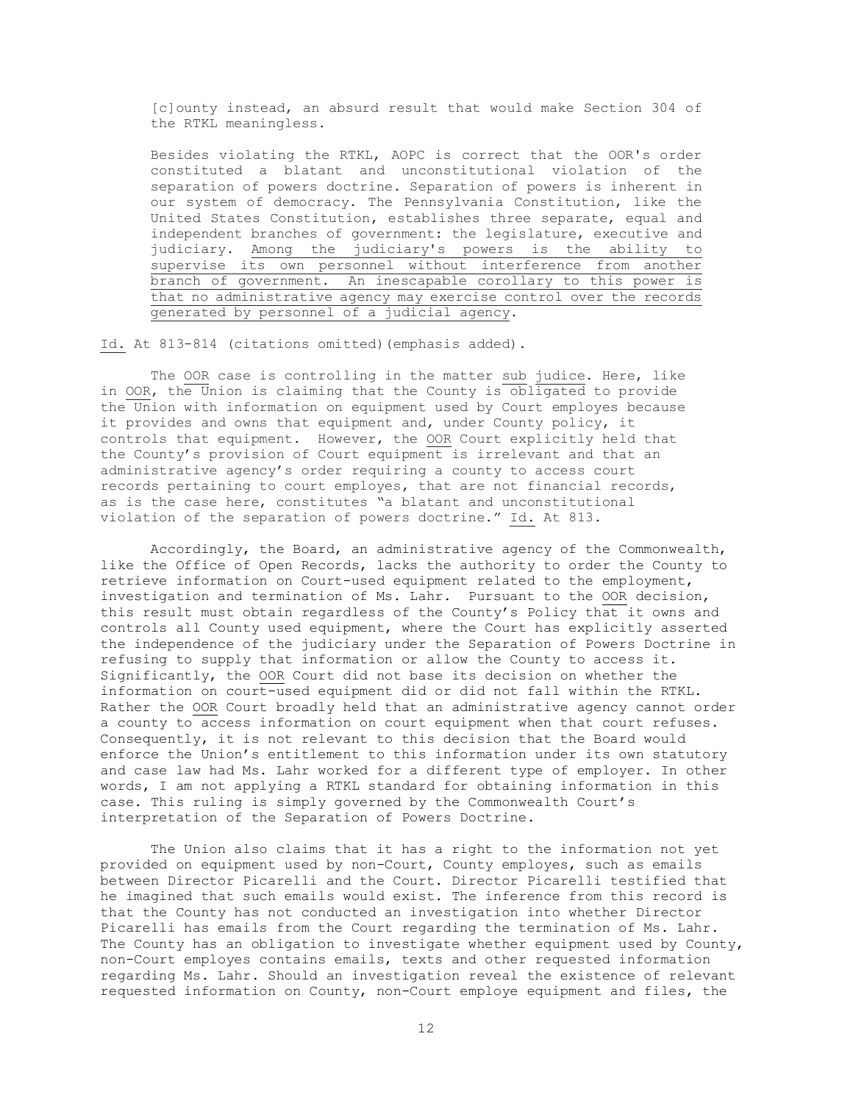[c]ounty instead, an absurd result that would make Section 304 of the RTKL meaningless.

Besides violating the RTKL, AOPC is correct that the OOR's order constituted a blatant and unconstitutional violation of the separation of powers doctrine. Separation of powers is inherent in our system of democracy. The Pennsylvania Constitution, like the United States Constitution, establishes three separate, equal and independent branches of government: the legislature, executive and judiciary. Among the judiciary's powers is the ability to supervise its own personnel without interference from another branch of government. An inescapable corollary to this power is that no administrative agency may exercise control over the records generated by personnel of a judicial agency.

Id. At 813-814 (citations omitted)(emphasis added).

The OOR case is controlling in the matter sub judice. Here, like in OOR, the Union is claiming that the County is obligated to provide the Union with information on equipment used by Court employes because it provides and owns that equipment and, under County policy, it controls that equipment. However, the OOR Court explicitly held that the County's provision of Court equipment is irrelevant and that an administrative agency's order requiring a county to access court records pertaining to court employes, that are not financial records, as is the case here, constitutes "a blatant and unconstitutional violation of the separation of powers doctrine." Id. At 813.

Accordingly, the Board, an administrative agency of the Commonwealth, like the Office of Open Records, lacks the authority to order the County to retrieve information on Court-used equipment related to the employment, investigation and termination of Ms. Lahr. Pursuant to the OOR decision, this result must obtain regardless of the County's Policy that it owns and controls all County used equipment, where the Court has explicitly asserted the independence of the judiciary under the Separation of Powers Doctrine in refusing to supply that information or allow the County to access it. Significantly, the OOR Court did not base its decision on whether the information on court-used equipment did or did not fall within the RTKL. Rather the OOR Court broadly held that an administrative agency cannot order a county to access information on court equipment when that court refuses. Consequently, it is not relevant to this decision that the Board would enforce the Union's entitlement to this information under its own statutory and case law had Ms. Lahr worked for a different type of employer. In other words, I am not applying a RTKL standard for obtaining information in this case. This ruling is simply governed by the Commonwealth Court's interpretation of the Separation of Powers Doctrine.

The Union also claims that it has a right to the information not yet provided on equipment used by non-Court, County employes, such as emails between Director Picarelli and the Court. Director Picarelli testified that he imagined that such emails would exist. The inference from this record is that the County has not conducted an investigation into whether Director Picarelli has emails from the Court regarding the termination of Ms. Lahr. The County has an obligation to investigate whether equipment used by County, non-Court employes contains emails, texts and other requested information regarding Ms. Lahr. Should an investigation reveal the existence of relevant requested information on County, non-Court employe equipment and files, the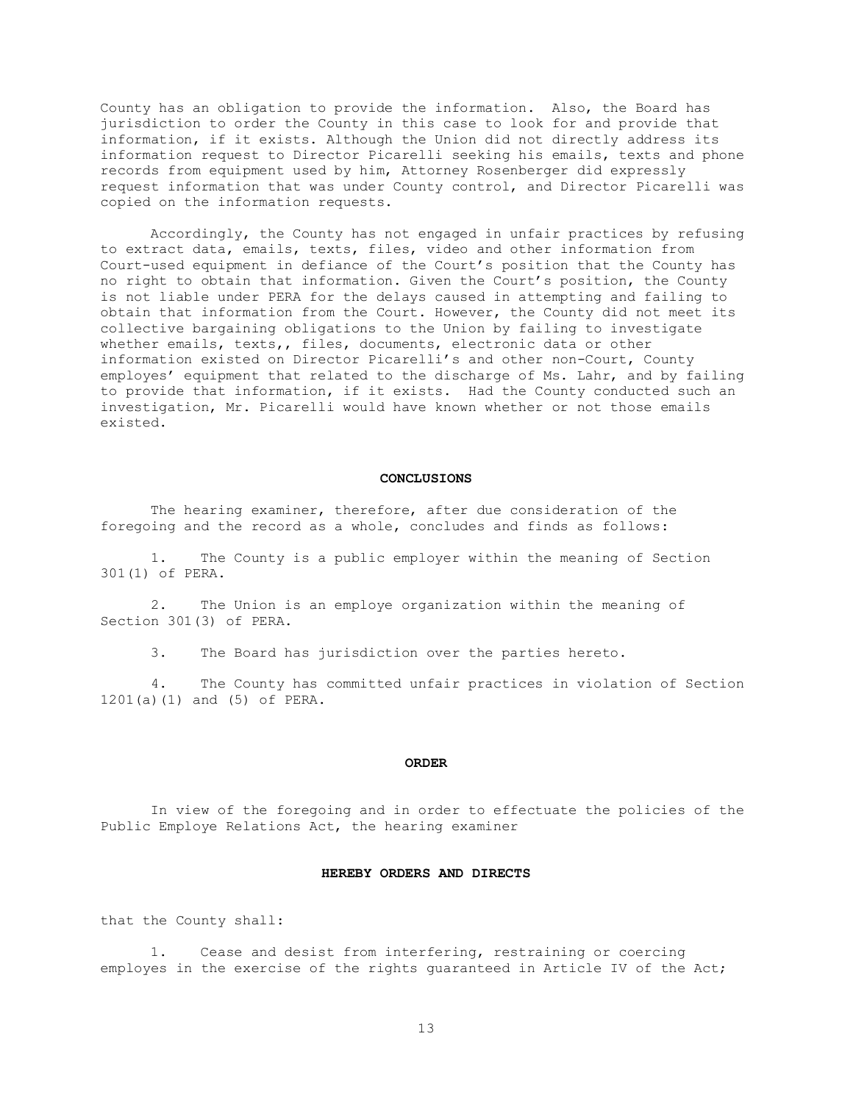County has an obligation to provide the information. Also, the Board has jurisdiction to order the County in this case to look for and provide that information, if it exists. Although the Union did not directly address its information request to Director Picarelli seeking his emails, texts and phone records from equipment used by him, Attorney Rosenberger did expressly request information that was under County control, and Director Picarelli was copied on the information requests.

Accordingly, the County has not engaged in unfair practices by refusing to extract data, emails, texts, files, video and other information from Court-used equipment in defiance of the Court's position that the County has no right to obtain that information. Given the Court's position, the County is not liable under PERA for the delays caused in attempting and failing to obtain that information from the Court. However, the County did not meet its collective bargaining obligations to the Union by failing to investigate whether emails, texts,, files, documents, electronic data or other information existed on Director Picarelli's and other non-Court, County employes' equipment that related to the discharge of Ms. Lahr, and by failing to provide that information, if it exists. Had the County conducted such an investigation, Mr. Picarelli would have known whether or not those emails existed.

#### **CONCLUSIONS**

The hearing examiner, therefore, after due consideration of the foregoing and the record as a whole, concludes and finds as follows:

 1. The County is a public employer within the meaning of Section 301(1) of PERA.

 2. The Union is an employe organization within the meaning of Section 301(3) of PERA.

3. The Board has jurisdiction over the parties hereto.

 4. The County has committed unfair practices in violation of Section 1201(a)(1) and (5) of PERA.

#### **ORDER**

In view of the foregoing and in order to effectuate the policies of the Public Employe Relations Act, the hearing examiner

# **HEREBY ORDERS AND DIRECTS**

that the County shall:

1. Cease and desist from interfering, restraining or coercing employes in the exercise of the rights guaranteed in Article IV of the Act;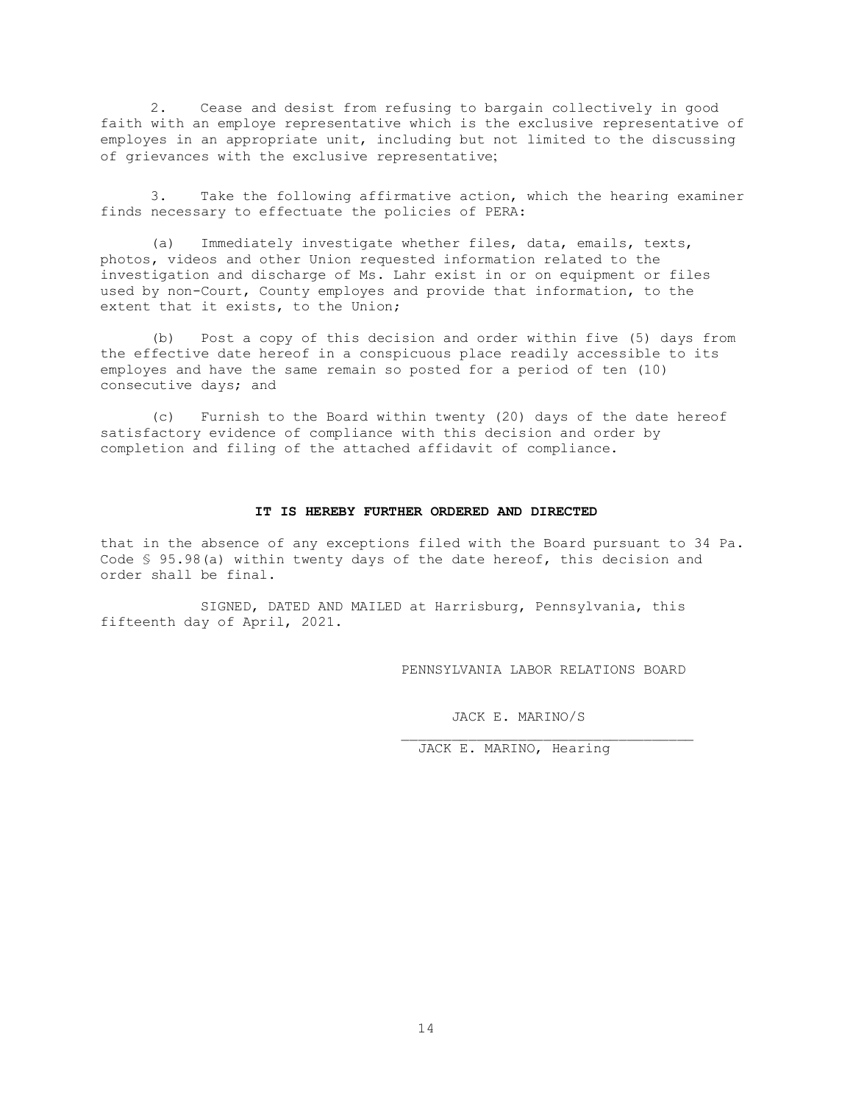2. Cease and desist from refusing to bargain collectively in good faith with an employe representative which is the exclusive representative of employes in an appropriate unit, including but not limited to the discussing of grievances with the exclusive representative;

3. Take the following affirmative action, which the hearing examiner finds necessary to effectuate the policies of PERA:

(a) Immediately investigate whether files, data, emails, texts, photos, videos and other Union requested information related to the investigation and discharge of Ms. Lahr exist in or on equipment or files used by non-Court, County employes and provide that information, to the extent that it exists, to the Union;

(b) Post a copy of this decision and order within five (5) days from the effective date hereof in a conspicuous place readily accessible to its employes and have the same remain so posted for a period of ten (10) consecutive days; and

(c) Furnish to the Board within twenty (20) days of the date hereof satisfactory evidence of compliance with this decision and order by completion and filing of the attached affidavit of compliance.

#### **IT IS HEREBY FURTHER ORDERED AND DIRECTED**

that in the absence of any exceptions filed with the Board pursuant to 34 Pa. Code § 95.98(a) within twenty days of the date hereof, this decision and order shall be final.

SIGNED, DATED AND MAILED at Harrisburg, Pennsylvania, this fifteenth day of April, 2021.

PENNSYLVANIA LABOR RELATIONS BOARD

\_\_\_\_\_\_\_\_\_\_\_\_\_\_\_\_\_\_\_\_\_\_\_\_\_\_\_\_\_\_\_\_\_\_\_

JACK E. MARINO/S

JACK E. MARINO, Hearing